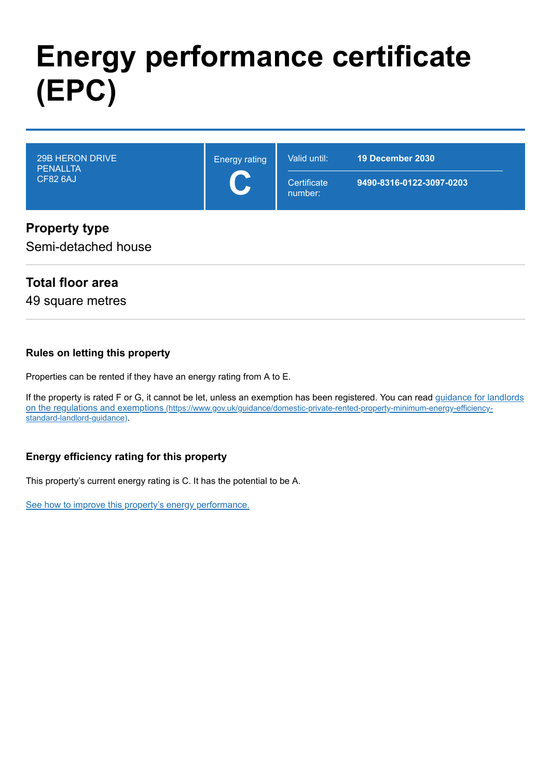# **Energy performance certificate (EPC)**

| <b>CF82 6AJ</b><br>9490-8316-0122-3097-0203<br>Certificate<br><b>Sand Street</b><br>number: | 29B HERON DRIVE<br><b>PENALLTA</b> | <b>Energy rating</b> | 19 December 2030<br>Valid until: |  |
|---------------------------------------------------------------------------------------------|------------------------------------|----------------------|----------------------------------|--|
|                                                                                             |                                    |                      |                                  |  |

#### **Property type**

Semi-detached house

#### **Total floor area**

49 square metres

#### **Rules on letting this property**

Properties can be rented if they have an energy rating from A to E.

[If the property is rated F or G, it cannot be let, unless an exemption has been registered. You can read guidance for landlords](https://www.gov.uk/guidance/domestic-private-rented-property-minimum-energy-efficiency-standard-landlord-guidance) on the regulations and exemptions (https://www.gov.uk/guidance/domestic-private-rented-property-minimum-energy-efficiencystandard-landlord-guidance).

#### **Energy efficiency rating for this property**

This property's current energy rating is C. It has the potential to be A.

[See how to improve this property's energy performance.](#page-3-0)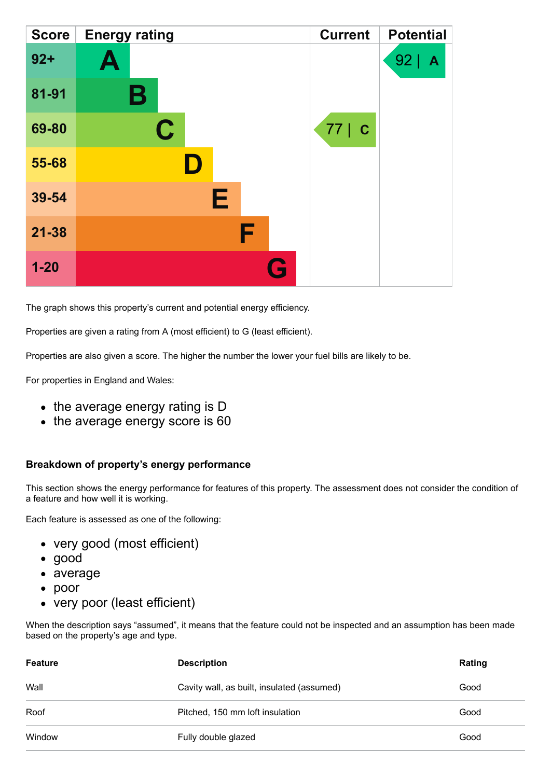| <b>Score</b> | <b>Energy rating</b> | <b>Current</b> | <b>Potential</b> |
|--------------|----------------------|----------------|------------------|
| $92 +$       | Ą                    |                | 92<br>A          |
| 81-91        | В                    |                |                  |
| 69-80        | C                    | 77   C         |                  |
| 55-68        | $\blacksquare$       |                |                  |
| 39-54        | Е                    |                |                  |
| $21 - 38$    | F                    |                |                  |
| $1 - 20$     |                      |                |                  |

The graph shows this property's current and potential energy efficiency.

Properties are given a rating from A (most efficient) to G (least efficient).

Properties are also given a score. The higher the number the lower your fuel bills are likely to be.

For properties in England and Wales:

- the average energy rating is D
- the average energy score is 60

#### **Breakdown of property's energy performance**

This section shows the energy performance for features of this property. The assessment does not consider the condition of a feature and how well it is working.

Each feature is assessed as one of the following:

- very good (most efficient)
- good
- average
- poor
- very poor (least efficient)

When the description says "assumed", it means that the feature could not be inspected and an assumption has been made based on the property's age and type.

| <b>Feature</b> | <b>Description</b>                         | Rating |
|----------------|--------------------------------------------|--------|
| Wall           | Cavity wall, as built, insulated (assumed) | Good   |
| Roof           | Pitched, 150 mm loft insulation            | Good   |
| Window         | Fully double glazed                        | Good   |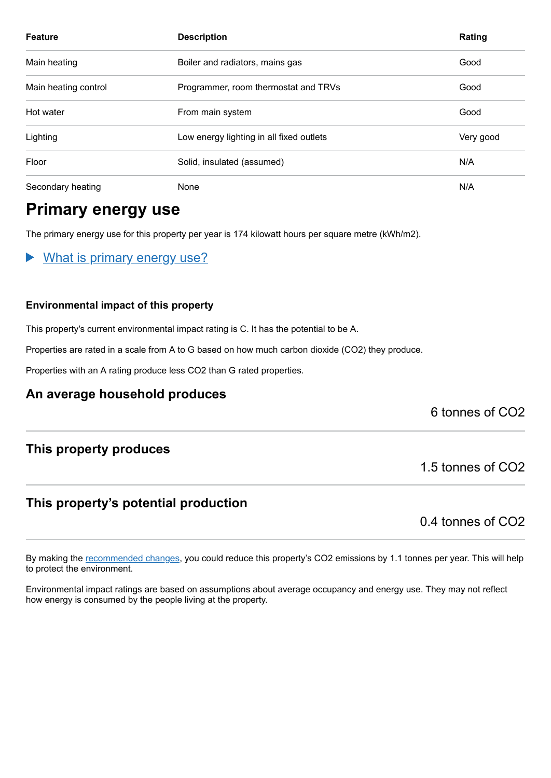| <b>Feature</b>       | <b>Description</b>                       | Rating    |
|----------------------|------------------------------------------|-----------|
| Main heating         | Boiler and radiators, mains gas          | Good      |
| Main heating control | Programmer, room thermostat and TRVs     | Good      |
| Hot water            | From main system                         | Good      |
| Lighting             | Low energy lighting in all fixed outlets | Very good |
| Floor                | Solid, insulated (assumed)               | N/A       |
| Secondary heating    | None                                     | N/A       |

## **Primary energy use**

The primary energy use for this property per year is 174 kilowatt hours per square metre (kWh/m2).

What is primary energy use?  $\blacktriangleright$ 

#### **Environmental impact of this property**

This property's current environmental impact rating is C. It has the potential to be A.

Properties are rated in a scale from A to G based on how much carbon dioxide (CO2) they produce.

Properties with an A rating produce less CO2 than G rated properties.

#### **An average household produces**

6 tonnes of CO2

#### **This property produces**

#### **This property's potential production**

0.4 tonnes of CO2

1.5 tonnes of CO2

By making the [recommended changes,](#page-3-0) you could reduce this property's CO2 emissions by 1.1 tonnes per year. This will help to protect the environment.

Environmental impact ratings are based on assumptions about average occupancy and energy use. They may not reflect how energy is consumed by the people living at the property.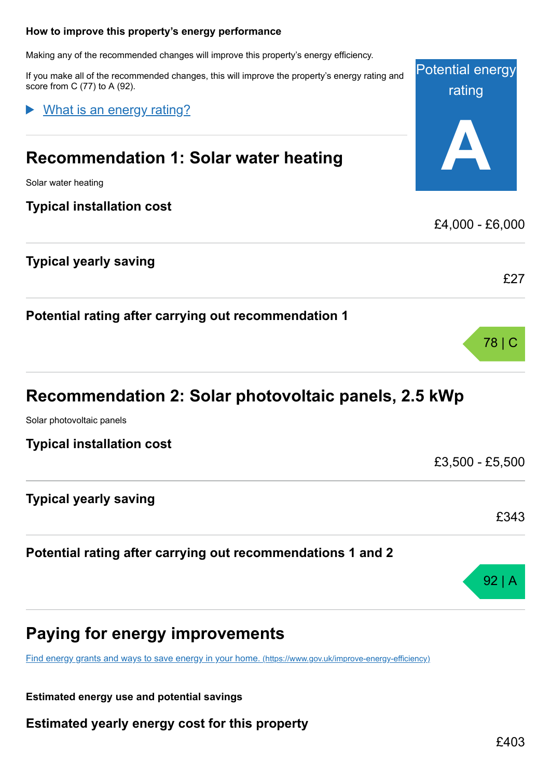# Potential energy rating **A** Making any of the recommended changes will improve this property's energy efficiency. If you make all of the recommended changes, this will improve the property's energy rating and score from C (77) to A (92). **Recommendation 1: Solar water heating** Solar water heating **Typical installation cost** £4,000 - £6,000 **Typical yearly saving** £27 **Potential rating after carrying out recommendation 1** 78 | C **Recommendation 2: Solar photovoltaic panels, 2.5 kWp** Solar photovoltaic panels **Typical installation cost** £3,500 - £5,500 What is an energy rating?

### **Potential rating after carrying out recommendations 1 and 2**

# **Paying for energy improvements**

<span id="page-3-0"></span>**How to improve this property's energy performance**

[Find energy grants and ways to save energy in your home.](https://www.gov.uk/improve-energy-efficiency) (https://www.gov.uk/improve-energy-efficiency)

**Estimated energy use and potential savings**

**Typical yearly saving**

**Estimated yearly energy cost for this property**

£343

92 | A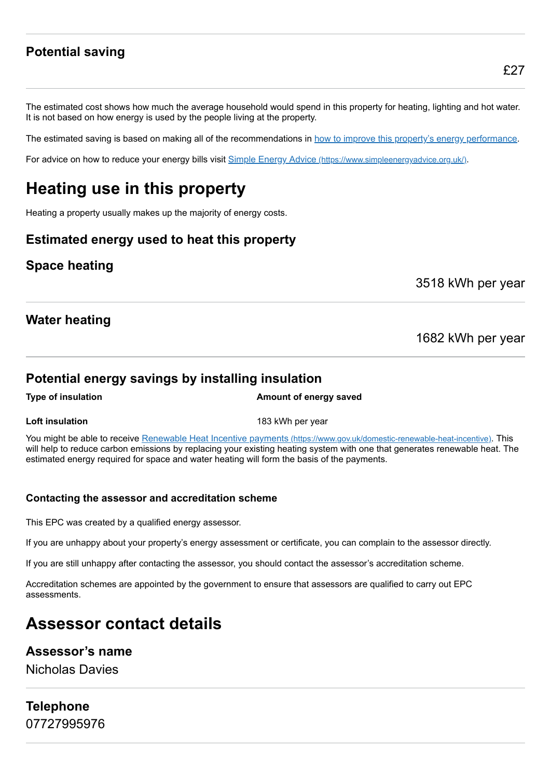### **Potential saving**

The estimated cost shows how much the average household would spend in this property for heating, lighting and hot water. It is not based on how energy is used by the people living at the property.

The estimated saving is based on making all of the recommendations in [how to improve this property's energy performance.](#page-3-0)

For advice on how to reduce your energy bills visit Simple Energy Advice [\(https://www.simpleenergyadvice.org.uk/\)](https://www.simpleenergyadvice.org.uk/).

# **Heating use in this property**

Heating a property usually makes up the majority of energy costs.

#### **Estimated energy used to heat this property**

#### **Space heating**

3518 kWh per year

#### **Water heating**

1682 kWh per year

#### **Potential energy savings by installing insulation**

#### **Type of insulation Amount of energy saved**

**Loft insulation** 183 kWh per year

You might be able to receive Renewable Heat Incentive payments [\(https://www.gov.uk/domestic-renewable-heat-incentive\)](https://www.gov.uk/domestic-renewable-heat-incentive). This will help to reduce carbon emissions by replacing your existing heating system with one that generates renewable heat. The estimated energy required for space and water heating will form the basis of the payments.

#### **Contacting the assessor and accreditation scheme**

This EPC was created by a qualified energy assessor.

If you are unhappy about your property's energy assessment or certificate, you can complain to the assessor directly.

If you are still unhappy after contacting the assessor, you should contact the assessor's accreditation scheme.

Accreditation schemes are appointed by the government to ensure that assessors are qualified to carry out EPC assessments.

# **Assessor contact details**

#### **Assessor's name**

Nicholas Davies

### **Telephone** 07727995976